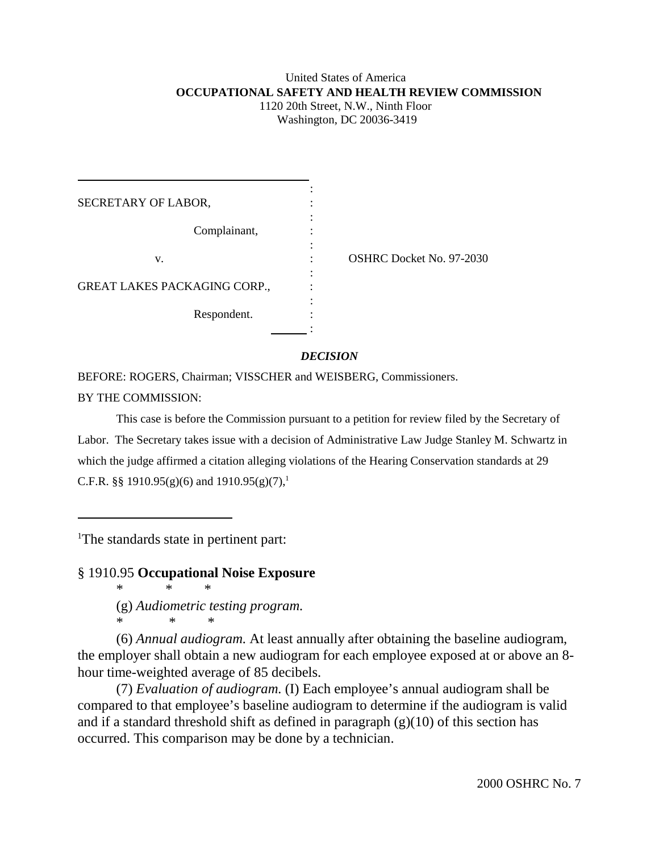# United States of America  **OCCUPATIONAL SAFETY AND HEALTH REVIEW COMMISSION** 1120 20th Street, N.W., Ninth Floor Washington, DC 20036-3419

| SECRETARY OF LABOR,          |                          |
|------------------------------|--------------------------|
| Complainant,                 |                          |
| V.                           | OSHRC Docket No. 97-2030 |
| GREAT LAKES PACKAGING CORP., |                          |
| Respondent.                  |                          |
|                              |                          |

*DECISION*

BEFORE: ROGERS, Chairman; VISSCHER and WEISBERG, Commissioners. BY THE COMMISSION:

This case is before the Commission pursuant to a petition for review filed by the Secretary of Labor. The Secretary takes issue with a decision of Administrative Law Judge Stanley M. Schwartz in which the judge affirmed a citation alleging violations of the Hearing Conservation standards at 29 C.F.R. §§ 1910.95(g)(6) and 1910.95(g)(7),<sup>1</sup>

<sup>1</sup>The standards state in pertinent part:

§ 1910.95 **Occupational Noise Exposure**

\* \* \* (g) *Audiometric testing program.* \* \* \*

(6) *Annual audiogram.* At least annually after obtaining the baseline audiogram, the employer shall obtain a new audiogram for each employee exposed at or above an 8 hour time-weighted average of 85 decibels.

(7) *Evaluation of audiogram.* (I) Each employee's annual audiogram shall be compared to that employee's baseline audiogram to determine if the audiogram is valid and if a standard threshold shift as defined in paragraph  $(g)(10)$  of this section has occurred. This comparison may be done by a technician.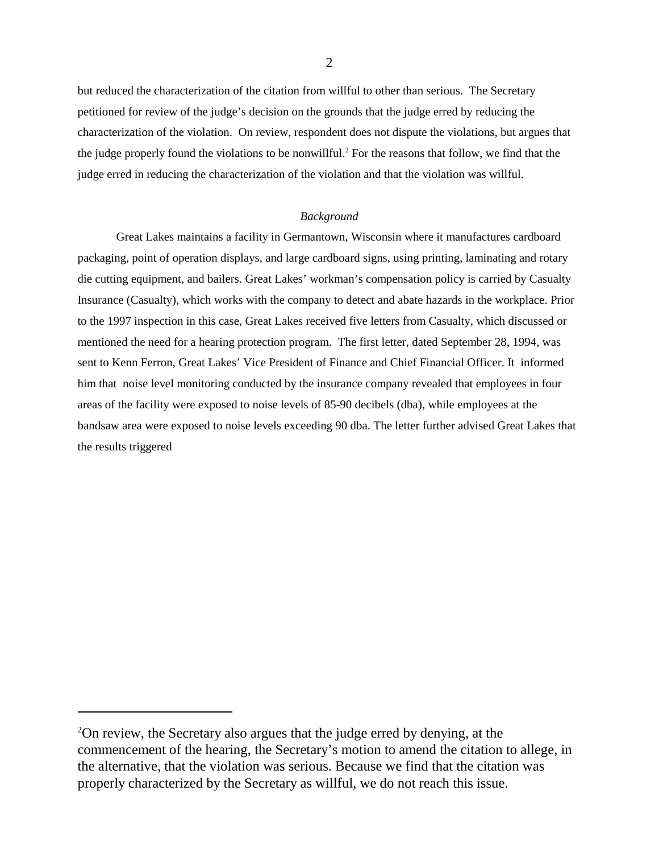but reduced the characterization of the citation from willful to other than serious. The Secretary petitioned for review of the judge's decision on the grounds that the judge erred by reducing the characterization of the violation. On review, respondent does not dispute the violations, but argues that the judge properly found the violations to be nonwillful.<sup>2</sup> For the reasons that follow, we find that the judge erred in reducing the characterization of the violation and that the violation was willful.

### *Background*

Great Lakes maintains a facility in Germantown, Wisconsin where it manufactures cardboard packaging, point of operation displays, and large cardboard signs, using printing, laminating and rotary die cutting equipment, and bailers. Great Lakes' workman's compensation policy is carried by Casualty Insurance (Casualty), which works with the company to detect and abate hazards in the workplace. Prior to the 1997 inspection in this case, Great Lakes received five letters from Casualty, which discussed or mentioned the need for a hearing protection program. The first letter, dated September 28, 1994, was sent to Kenn Ferron, Great Lakes' Vice President of Finance and Chief Financial Officer. It informed him that noise level monitoring conducted by the insurance company revealed that employees in four areas of the facility were exposed to noise levels of 85-90 decibels (dba), while employees at the bandsaw area were exposed to noise levels exceeding 90 dba. The letter further advised Great Lakes that the results triggered

<sup>&</sup>lt;sup>2</sup>On review, the Secretary also argues that the judge erred by denying, at the commencement of the hearing, the Secretary's motion to amend the citation to allege, in the alternative, that the violation was serious. Because we find that the citation was properly characterized by the Secretary as willful, we do not reach this issue.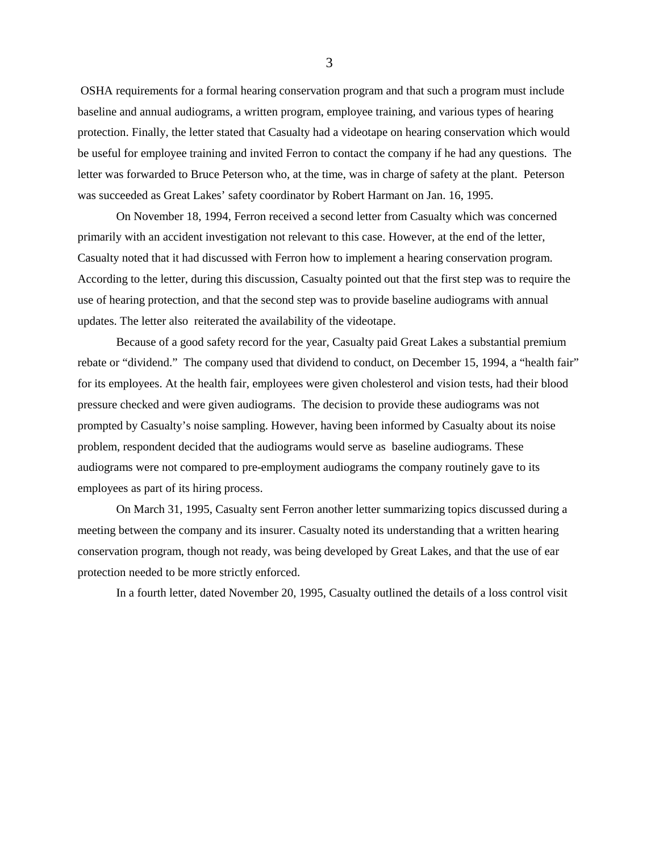OSHA requirements for a formal hearing conservation program and that such a program must include baseline and annual audiograms, a written program, employee training, and various types of hearing protection. Finally, the letter stated that Casualty had a videotape on hearing conservation which would be useful for employee training and invited Ferron to contact the company if he had any questions. The letter was forwarded to Bruce Peterson who, at the time, was in charge of safety at the plant. Peterson was succeeded as Great Lakes' safety coordinator by Robert Harmant on Jan. 16, 1995.

On November 18, 1994, Ferron received a second letter from Casualty which was concerned primarily with an accident investigation not relevant to this case. However, at the end of the letter, Casualty noted that it had discussed with Ferron how to implement a hearing conservation program. According to the letter, during this discussion, Casualty pointed out that the first step was to require the use of hearing protection, and that the second step was to provide baseline audiograms with annual updates. The letter also reiterated the availability of the videotape.

Because of a good safety record for the year, Casualty paid Great Lakes a substantial premium rebate or "dividend." The company used that dividend to conduct, on December 15, 1994, a "health fair" for its employees. At the health fair, employees were given cholesterol and vision tests, had their blood pressure checked and were given audiograms. The decision to provide these audiograms was not prompted by Casualty's noise sampling. However, having been informed by Casualty about its noise problem, respondent decided that the audiograms would serve as baseline audiograms. These audiograms were not compared to pre-employment audiograms the company routinely gave to its employees as part of its hiring process.

On March 31, 1995, Casualty sent Ferron another letter summarizing topics discussed during a meeting between the company and its insurer. Casualty noted its understanding that a written hearing conservation program, though not ready, was being developed by Great Lakes, and that the use of ear protection needed to be more strictly enforced.

In a fourth letter, dated November 20, 1995, Casualty outlined the details of a loss control visit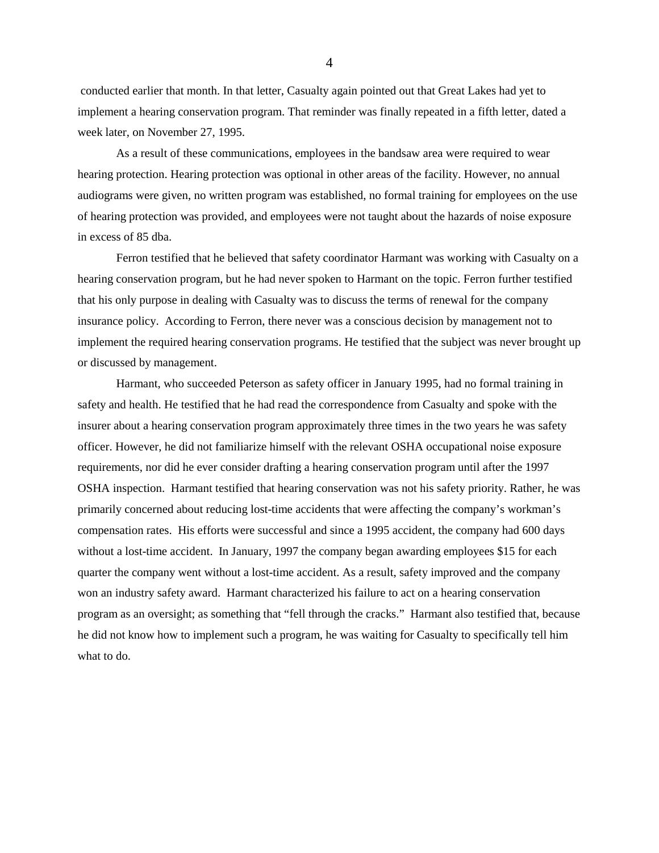conducted earlier that month. In that letter, Casualty again pointed out that Great Lakes had yet to implement a hearing conservation program. That reminder was finally repeated in a fifth letter, dated a week later, on November 27, 1995.

As a result of these communications, employees in the bandsaw area were required to wear hearing protection. Hearing protection was optional in other areas of the facility. However, no annual audiograms were given, no written program was established, no formal training for employees on the use of hearing protection was provided, and employees were not taught about the hazards of noise exposure in excess of 85 dba.

Ferron testified that he believed that safety coordinator Harmant was working with Casualty on a hearing conservation program, but he had never spoken to Harmant on the topic. Ferron further testified that his only purpose in dealing with Casualty was to discuss the terms of renewal for the company insurance policy. According to Ferron, there never was a conscious decision by management not to implement the required hearing conservation programs. He testified that the subject was never brought up or discussed by management.

Harmant, who succeeded Peterson as safety officer in January 1995, had no formal training in safety and health. He testified that he had read the correspondence from Casualty and spoke with the insurer about a hearing conservation program approximately three times in the two years he was safety officer. However, he did not familiarize himself with the relevant OSHA occupational noise exposure requirements, nor did he ever consider drafting a hearing conservation program until after the 1997 OSHA inspection. Harmant testified that hearing conservation was not his safety priority. Rather, he was primarily concerned about reducing lost-time accidents that were affecting the company's workman's compensation rates. His efforts were successful and since a 1995 accident, the company had 600 days without a lost-time accident. In January, 1997 the company began awarding employees \$15 for each quarter the company went without a lost-time accident. As a result, safety improved and the company won an industry safety award. Harmant characterized his failure to act on a hearing conservation program as an oversight; as something that "fell through the cracks." Harmant also testified that, because he did not know how to implement such a program, he was waiting for Casualty to specifically tell him what to do.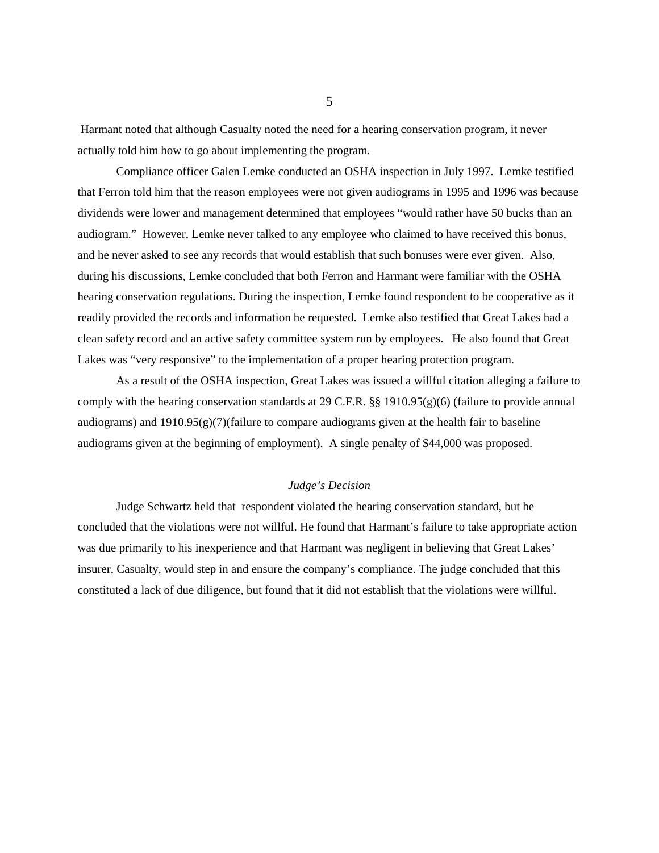Harmant noted that although Casualty noted the need for a hearing conservation program, it never actually told him how to go about implementing the program.

Compliance officer Galen Lemke conducted an OSHA inspection in July 1997. Lemke testified that Ferron told him that the reason employees were not given audiograms in 1995 and 1996 was because dividends were lower and management determined that employees "would rather have 50 bucks than an audiogram." However, Lemke never talked to any employee who claimed to have received this bonus, and he never asked to see any records that would establish that such bonuses were ever given. Also, during his discussions, Lemke concluded that both Ferron and Harmant were familiar with the OSHA hearing conservation regulations. During the inspection, Lemke found respondent to be cooperative as it readily provided the records and information he requested. Lemke also testified that Great Lakes had a clean safety record and an active safety committee system run by employees. He also found that Great Lakes was "very responsive" to the implementation of a proper hearing protection program.

As a result of the OSHA inspection, Great Lakes was issued a willful citation alleging a failure to comply with the hearing conservation standards at 29 C.F.R. §§ 1910.95(g)(6) (failure to provide annual audiograms) and  $1910.95(g)(7)$ (failure to compare audiograms given at the health fair to baseline audiograms given at the beginning of employment). A single penalty of \$44,000 was proposed.

# *Judge's Decision*

Judge Schwartz held that respondent violated the hearing conservation standard, but he concluded that the violations were not willful. He found that Harmant's failure to take appropriate action was due primarily to his inexperience and that Harmant was negligent in believing that Great Lakes' insurer, Casualty, would step in and ensure the company's compliance. The judge concluded that this constituted a lack of due diligence, but found that it did not establish that the violations were willful.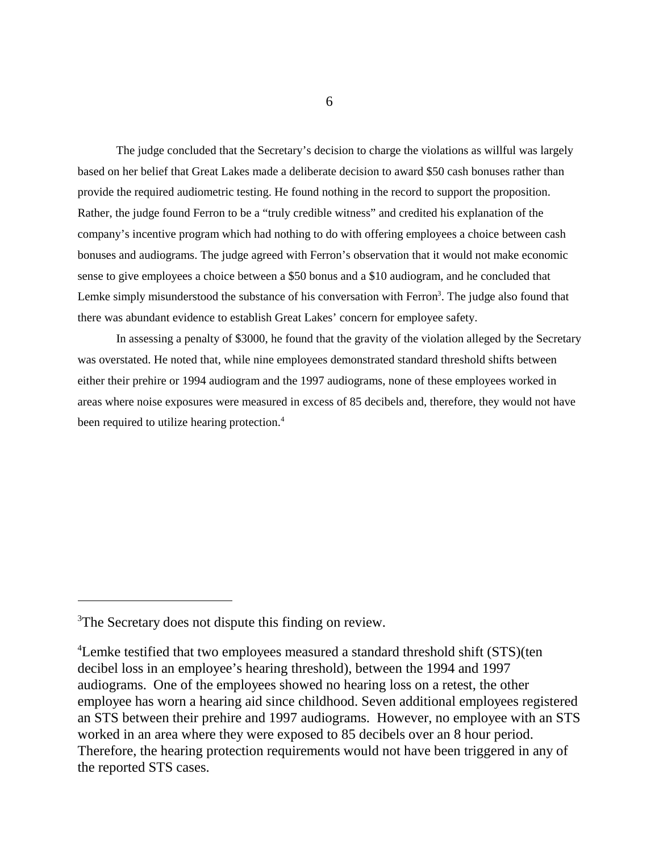The judge concluded that the Secretary's decision to charge the violations as willful was largely based on her belief that Great Lakes made a deliberate decision to award \$50 cash bonuses rather than provide the required audiometric testing. He found nothing in the record to support the proposition. Rather, the judge found Ferron to be a "truly credible witness" and credited his explanation of the company's incentive program which had nothing to do with offering employees a choice between cash bonuses and audiograms. The judge agreed with Ferron's observation that it would not make economic sense to give employees a choice between a \$50 bonus and a \$10 audiogram, and he concluded that Lemke simply misunderstood the substance of his conversation with Ferron<sup>3</sup>. The judge also found that there was abundant evidence to establish Great Lakes' concern for employee safety.

In assessing a penalty of \$3000, he found that the gravity of the violation alleged by the Secretary was overstated. He noted that, while nine employees demonstrated standard threshold shifts between either their prehire or 1994 audiogram and the 1997 audiograms, none of these employees worked in areas where noise exposures were measured in excess of 85 decibels and, therefore, they would not have been required to utilize hearing protection.<sup>4</sup>

<sup>&</sup>lt;sup>3</sup>The Secretary does not dispute this finding on review.

<sup>&</sup>lt;sup>4</sup>Lemke testified that two employees measured a standard threshold shift (STS) (ten decibel loss in an employee's hearing threshold), between the 1994 and 1997 audiograms. One of the employees showed no hearing loss on a retest, the other employee has worn a hearing aid since childhood. Seven additional employees registered an STS between their prehire and 1997 audiograms. However, no employee with an STS worked in an area where they were exposed to 85 decibels over an 8 hour period. Therefore, the hearing protection requirements would not have been triggered in any of the reported STS cases.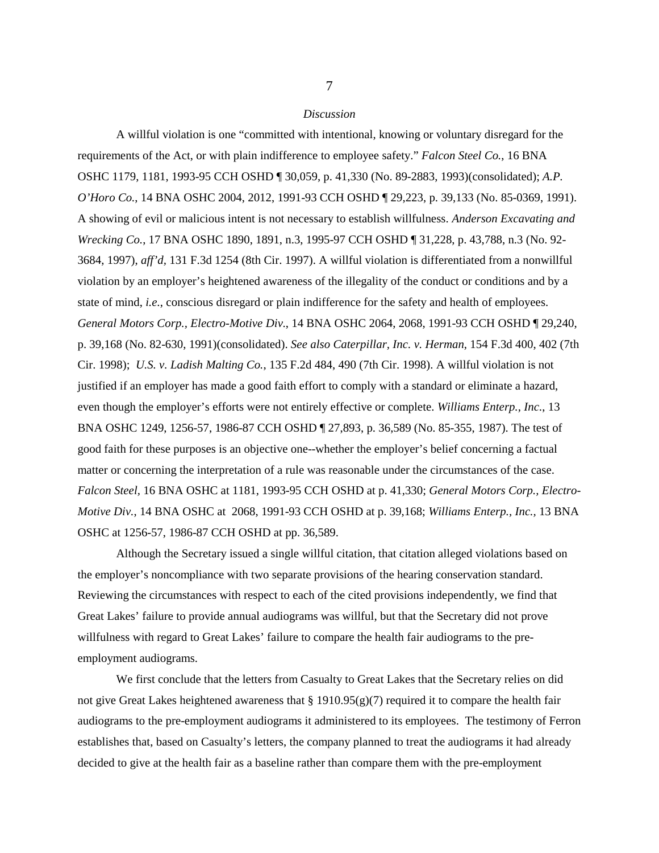#### *Discussion*

A willful violation is one "committed with intentional, knowing or voluntary disregard for the requirements of the Act, or with plain indifference to employee safety." *Falcon Steel Co.*, 16 BNA OSHC 1179, 1181, 1993-95 CCH OSHD ¶ 30,059, p. 41,330 (No. 89-2883, 1993)(consolidated); *A.P. O'Horo Co.*, 14 BNA OSHC 2004, 2012, 1991-93 CCH OSHD ¶ 29,223, p. 39,133 (No. 85-0369, 1991). A showing of evil or malicious intent is not necessary to establish willfulness. *Anderson Excavating and Wrecking Co.*, 17 BNA OSHC 1890, 1891, n.3, 1995-97 CCH OSHD ¶ 31,228, p. 43,788, n.3 (No. 92- 3684, 1997), *aff'd,* 131 F.3d 1254 (8th Cir. 1997). A willful violation is differentiated from a nonwillful violation by an employer's heightened awareness of the illegality of the conduct or conditions and by a state of mind, *i.e.*, conscious disregard or plain indifference for the safety and health of employees. *General Motors Corp., Electro-Motive Div.*, 14 BNA OSHC 2064, 2068, 1991-93 CCH OSHD ¶ 29,240, p. 39,168 (No. 82-630, 1991)(consolidated). *See also Caterpillar, Inc. v. Herman*, 154 F.3d 400, 402 (7th Cir. 1998); *U.S. v. Ladish Malting Co.*, 135 F.2d 484, 490 (7th Cir. 1998). A willful violation is not justified if an employer has made a good faith effort to comply with a standard or eliminate a hazard, even though the employer's efforts were not entirely effective or complete. *Williams Enterp., Inc.*, 13 BNA OSHC 1249, 1256-57, 1986-87 CCH OSHD ¶ 27,893, p. 36,589 (No. 85-355, 1987). The test of good faith for these purposes is an objective one--whether the employer's belief concerning a factual matter or concerning the interpretation of a rule was reasonable under the circumstances of the case. *Falcon Steel,* 16 BNA OSHC at 1181, 1993-95 CCH OSHD at p. 41,330; *General Motors Corp., Electro-Motive Div.*, 14 BNA OSHC at 2068, 1991-93 CCH OSHD at p. 39,168; *Williams Enterp., Inc.,* 13 BNA OSHC at 1256-57, 1986-87 CCH OSHD at pp. 36,589.

Although the Secretary issued a single willful citation, that citation alleged violations based on the employer's noncompliance with two separate provisions of the hearing conservation standard. Reviewing the circumstances with respect to each of the cited provisions independently, we find that Great Lakes' failure to provide annual audiograms was willful, but that the Secretary did not prove willfulness with regard to Great Lakes' failure to compare the health fair audiograms to the preemployment audiograms.

We first conclude that the letters from Casualty to Great Lakes that the Secretary relies on did not give Great Lakes heightened awareness that  $\S 1910.95(g)(7)$  required it to compare the health fair audiograms to the pre-employment audiograms it administered to its employees. The testimony of Ferron establishes that, based on Casualty's letters, the company planned to treat the audiograms it had already decided to give at the health fair as a baseline rather than compare them with the pre-employment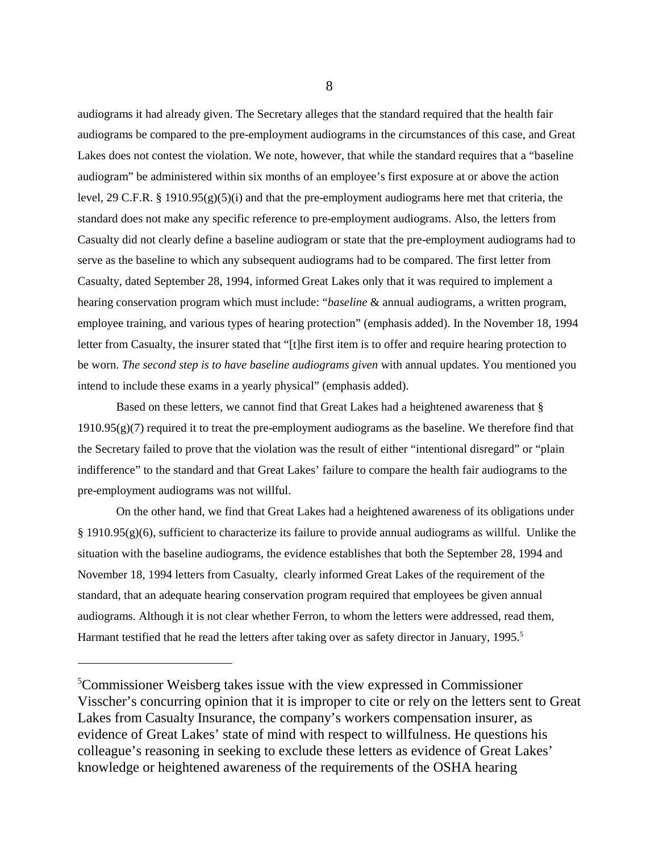audiograms it had already given. The Secretary alleges that the standard required that the health fair audiograms be compared to the pre-employment audiograms in the circumstances of this case, and Great Lakes does not contest the violation. We note, however, that while the standard requires that a "baseline audiogram" be administered within six months of an employee's first exposure at or above the action level, 29 C.F.R. § 1910.95(g)(5)(i) and that the pre-employment audiograms here met that criteria, the standard does not make any specific reference to pre-employment audiograms. Also, the letters from Casualty did not clearly define a baseline audiogram or state that the pre-employment audiograms had to serve as the baseline to which any subsequent audiograms had to be compared. The first letter from Casualty, dated September 28, 1994, informed Great Lakes only that it was required to implement a hearing conservation program which must include: "*baseline* & annual audiograms, a written program, employee training, and various types of hearing protection" (emphasis added). In the November 18, 1994 letter from Casualty, the insurer stated that "[t]he first item is to offer and require hearing protection to be worn. *The second step is to have baseline audiograms given* with annual updates. You mentioned you intend to include these exams in a yearly physical" (emphasis added).

Based on these letters, we cannot find that Great Lakes had a heightened awareness that § 1910.95(g)(7) required it to treat the pre-employment audiograms as the baseline. We therefore find that the Secretary failed to prove that the violation was the result of either "intentional disregard" or "plain indifference" to the standard and that Great Lakes' failure to compare the health fair audiograms to the pre-employment audiograms was not willful.

On the other hand, we find that Great Lakes had a heightened awareness of its obligations under § 1910.95(g)(6), sufficient to characterize its failure to provide annual audiograms as willful. Unlike the situation with the baseline audiograms, the evidence establishes that both the September 28, 1994 and November 18, 1994 letters from Casualty, clearly informed Great Lakes of the requirement of the standard, that an adequate hearing conservation program required that employees be given annual audiograms. Although it is not clear whether Ferron, to whom the letters were addressed, read them, Harmant testified that he read the letters after taking over as safety director in January,  $1995$ <sup>5</sup>

<sup>5</sup> Commissioner Weisberg takes issue with the view expressed in Commissioner Visscher's concurring opinion that it is improper to cite or rely on the letters sent to Great Lakes from Casualty Insurance, the company's workers compensation insurer, as evidence of Great Lakes' state of mind with respect to willfulness. He questions his colleague's reasoning in seeking to exclude these letters as evidence of Great Lakes' knowledge or heightened awareness of the requirements of the OSHA hearing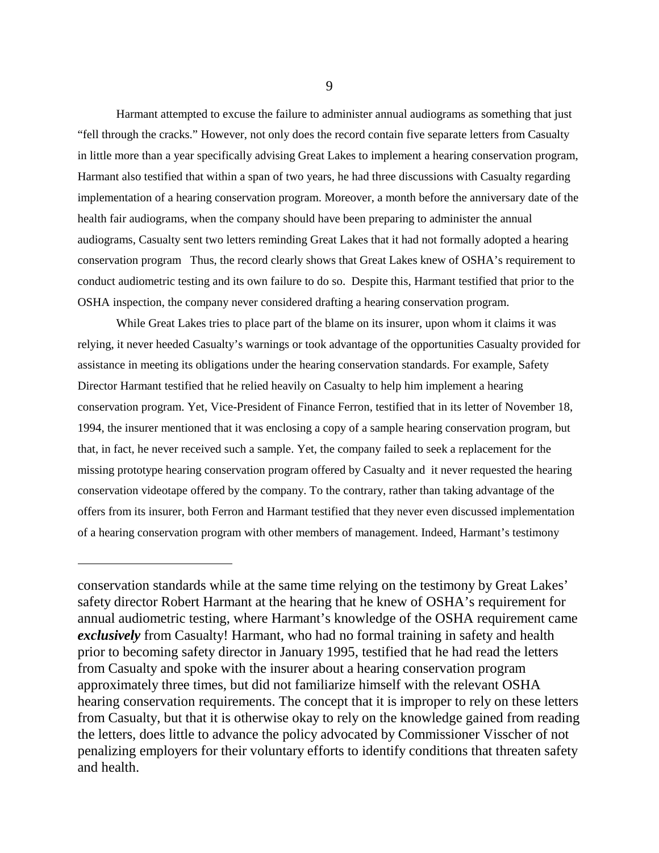Harmant attempted to excuse the failure to administer annual audiograms as something that just "fell through the cracks." However, not only does the record contain five separate letters from Casualty in little more than a year specifically advising Great Lakes to implement a hearing conservation program, Harmant also testified that within a span of two years, he had three discussions with Casualty regarding implementation of a hearing conservation program. Moreover, a month before the anniversary date of the health fair audiograms, when the company should have been preparing to administer the annual audiograms, Casualty sent two letters reminding Great Lakes that it had not formally adopted a hearing conservation program Thus, the record clearly shows that Great Lakes knew of OSHA's requirement to conduct audiometric testing and its own failure to do so. Despite this, Harmant testified that prior to the OSHA inspection, the company never considered drafting a hearing conservation program.

While Great Lakes tries to place part of the blame on its insurer, upon whom it claims it was relying, it never heeded Casualty's warnings or took advantage of the opportunities Casualty provided for assistance in meeting its obligations under the hearing conservation standards. For example, Safety Director Harmant testified that he relied heavily on Casualty to help him implement a hearing conservation program. Yet, Vice-President of Finance Ferron, testified that in its letter of November 18, 1994, the insurer mentioned that it was enclosing a copy of a sample hearing conservation program, but that, in fact, he never received such a sample. Yet, the company failed to seek a replacement for the missing prototype hearing conservation program offered by Casualty and it never requested the hearing conservation videotape offered by the company. To the contrary, rather than taking advantage of the offers from its insurer, both Ferron and Harmant testified that they never even discussed implementation of a hearing conservation program with other members of management. Indeed, Harmant's testimony

conservation standards while at the same time relying on the testimony by Great Lakes' safety director Robert Harmant at the hearing that he knew of OSHA's requirement for annual audiometric testing, where Harmant's knowledge of the OSHA requirement came *exclusively* from Casualty! Harmant, who had no formal training in safety and health prior to becoming safety director in January 1995, testified that he had read the letters from Casualty and spoke with the insurer about a hearing conservation program approximately three times, but did not familiarize himself with the relevant OSHA hearing conservation requirements. The concept that it is improper to rely on these letters from Casualty, but that it is otherwise okay to rely on the knowledge gained from reading the letters, does little to advance the policy advocated by Commissioner Visscher of not penalizing employers for their voluntary efforts to identify conditions that threaten safety and health.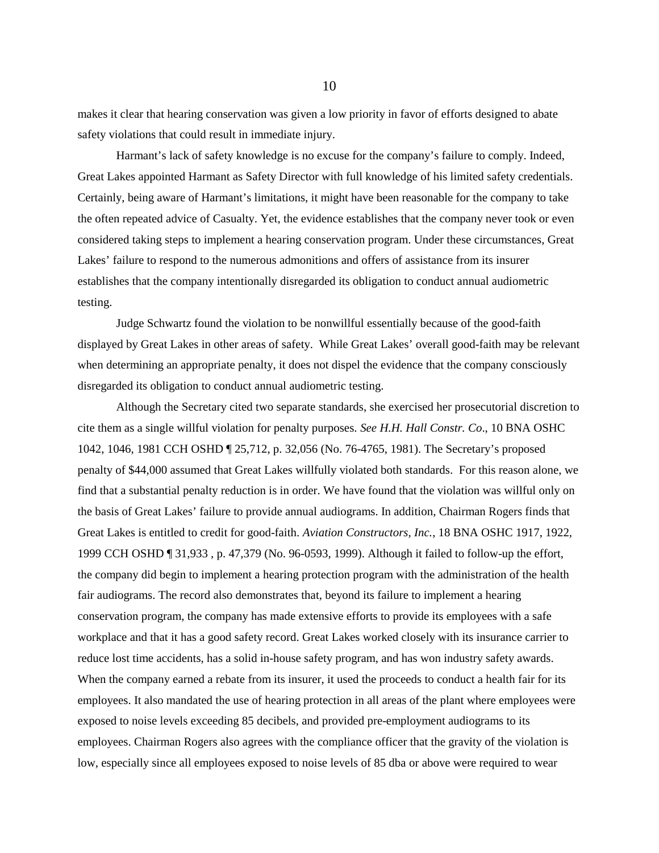makes it clear that hearing conservation was given a low priority in favor of efforts designed to abate safety violations that could result in immediate injury.

Harmant's lack of safety knowledge is no excuse for the company's failure to comply. Indeed, Great Lakes appointed Harmant as Safety Director with full knowledge of his limited safety credentials. Certainly, being aware of Harmant's limitations, it might have been reasonable for the company to take the often repeated advice of Casualty. Yet, the evidence establishes that the company never took or even considered taking steps to implement a hearing conservation program. Under these circumstances, Great Lakes' failure to respond to the numerous admonitions and offers of assistance from its insurer establishes that the company intentionally disregarded its obligation to conduct annual audiometric testing.

Judge Schwartz found the violation to be nonwillful essentially because of the good-faith displayed by Great Lakes in other areas of safety. While Great Lakes' overall good-faith may be relevant when determining an appropriate penalty, it does not dispel the evidence that the company consciously disregarded its obligation to conduct annual audiometric testing.

Although the Secretary cited two separate standards, she exercised her prosecutorial discretion to cite them as a single willful violation for penalty purposes. *See H.H. Hall Constr. Co*., 10 BNA OSHC 1042, 1046, 1981 CCH OSHD ¶ 25,712, p. 32,056 (No. 76-4765, 1981). The Secretary's proposed penalty of \$44,000 assumed that Great Lakes willfully violated both standards. For this reason alone, we find that a substantial penalty reduction is in order. We have found that the violation was willful only on the basis of Great Lakes' failure to provide annual audiograms. In addition, Chairman Rogers finds that Great Lakes is entitled to credit for good-faith. *Aviation Constructors, Inc.*, 18 BNA OSHC 1917, 1922, 1999 CCH OSHD ¶ 31,933 , p. 47,379 (No. 96-0593, 1999). Although it failed to follow-up the effort, the company did begin to implement a hearing protection program with the administration of the health fair audiograms. The record also demonstrates that, beyond its failure to implement a hearing conservation program, the company has made extensive efforts to provide its employees with a safe workplace and that it has a good safety record. Great Lakes worked closely with its insurance carrier to reduce lost time accidents, has a solid in-house safety program, and has won industry safety awards. When the company earned a rebate from its insurer, it used the proceeds to conduct a health fair for its employees. It also mandated the use of hearing protection in all areas of the plant where employees were exposed to noise levels exceeding 85 decibels, and provided pre-employment audiograms to its employees. Chairman Rogers also agrees with the compliance officer that the gravity of the violation is low, especially since all employees exposed to noise levels of 85 dba or above were required to wear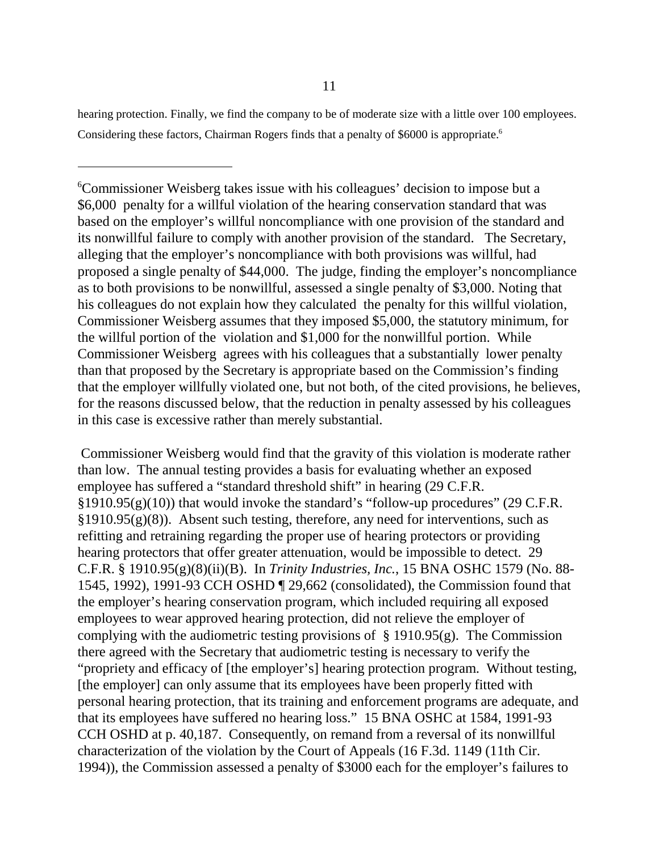hearing protection. Finally, we find the company to be of moderate size with a little over 100 employees. Considering these factors, Chairman Rogers finds that a penalty of \$6000 is appropriate.<sup>6</sup>

6 Commissioner Weisberg takes issue with his colleagues' decision to impose but a \$6,000 penalty for a willful violation of the hearing conservation standard that was based on the employer's willful noncompliance with one provision of the standard and its nonwillful failure to comply with another provision of the standard. The Secretary, alleging that the employer's noncompliance with both provisions was willful, had proposed a single penalty of \$44,000. The judge, finding the employer's noncompliance as to both provisions to be nonwillful, assessed a single penalty of \$3,000. Noting that his colleagues do not explain how they calculated the penalty for this willful violation, Commissioner Weisberg assumes that they imposed \$5,000, the statutory minimum, for the willful portion of the violation and \$1,000 for the nonwillful portion. While Commissioner Weisberg agrees with his colleagues that a substantially lower penalty than that proposed by the Secretary is appropriate based on the Commission's finding that the employer willfully violated one, but not both, of the cited provisions, he believes, for the reasons discussed below, that the reduction in penalty assessed by his colleagues in this case is excessive rather than merely substantial.

 Commissioner Weisberg would find that the gravity of this violation is moderate rather than low. The annual testing provides a basis for evaluating whether an exposed employee has suffered a "standard threshold shift" in hearing (29 C.F.R. §1910.95(g)(10)) that would invoke the standard's "follow-up procedures" (29 C.F.R.  $\S 1910.95(g)(8)$ . Absent such testing, therefore, any need for interventions, such as refitting and retraining regarding the proper use of hearing protectors or providing hearing protectors that offer greater attenuation, would be impossible to detect. 29 C.F.R. § 1910.95(g)(8)(ii)(B). In *Trinity Industries, Inc.*, 15 BNA OSHC 1579 (No. 88- 1545, 1992), 1991-93 CCH OSHD ¶ 29,662 (consolidated), the Commission found that the employer's hearing conservation program, which included requiring all exposed employees to wear approved hearing protection, did not relieve the employer of complying with the audiometric testing provisions of  $\S$  1910.95(g). The Commission there agreed with the Secretary that audiometric testing is necessary to verify the "propriety and efficacy of [the employer's] hearing protection program. Without testing, [the employer] can only assume that its employees have been properly fitted with personal hearing protection, that its training and enforcement programs are adequate, and that its employees have suffered no hearing loss." 15 BNA OSHC at 1584, 1991-93 CCH OSHD at p. 40,187. Consequently, on remand from a reversal of its nonwillful characterization of the violation by the Court of Appeals (16 F.3d. 1149 (11th Cir. 1994)), the Commission assessed a penalty of \$3000 each for the employer's failures to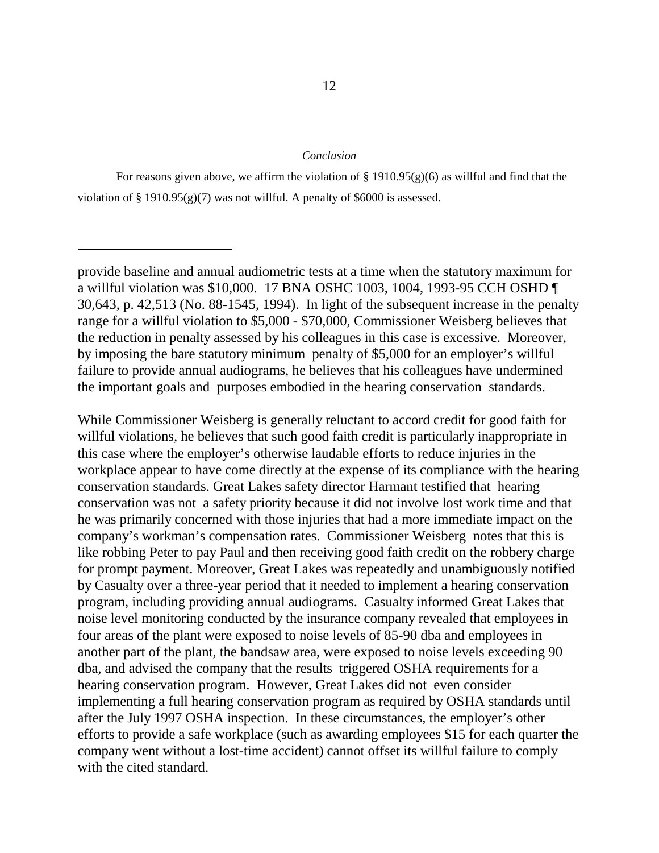#### *Conclusion*

While Commissioner Weisberg is generally reluctant to accord credit for good faith for willful violations, he believes that such good faith credit is particularly inappropriate in this case where the employer's otherwise laudable efforts to reduce injuries in the workplace appear to have come directly at the expense of its compliance with the hearing conservation standards. Great Lakes safety director Harmant testified that hearing conservation was not a safety priority because it did not involve lost work time and that he was primarily concerned with those injuries that had a more immediate impact on the company's workman's compensation rates. Commissioner Weisberg notes that this is like robbing Peter to pay Paul and then receiving good faith credit on the robbery charge for prompt payment. Moreover, Great Lakes was repeatedly and unambiguously notified by Casualty over a three-year period that it needed to implement a hearing conservation program, including providing annual audiograms. Casualty informed Great Lakes that noise level monitoring conducted by the insurance company revealed that employees in four areas of the plant were exposed to noise levels of 85-90 dba and employees in another part of the plant, the bandsaw area, were exposed to noise levels exceeding 90 dba, and advised the company that the results triggered OSHA requirements for a hearing conservation program. However, Great Lakes did not even consider implementing a full hearing conservation program as required by OSHA standards until after the July 1997 OSHA inspection. In these circumstances, the employer's other efforts to provide a safe workplace (such as awarding employees \$15 for each quarter the company went without a lost-time accident) cannot offset its willful failure to comply with the cited standard.

For reasons given above, we affirm the violation of  $\S 1910.95(g)(6)$  as willful and find that the violation of  $\S 1910.95(g)(7)$  was not willful. A penalty of \$6000 is assessed.

provide baseline and annual audiometric tests at a time when the statutory maximum for a willful violation was \$10,000. 17 BNA OSHC 1003, 1004, 1993-95 CCH OSHD ¶ 30,643, p. 42,513 (No. 88-1545, 1994). In light of the subsequent increase in the penalty range for a willful violation to \$5,000 - \$70,000, Commissioner Weisberg believes that the reduction in penalty assessed by his colleagues in this case is excessive. Moreover, by imposing the bare statutory minimum penalty of \$5,000 for an employer's willful failure to provide annual audiograms, he believes that his colleagues have undermined the important goals and purposes embodied in the hearing conservation standards.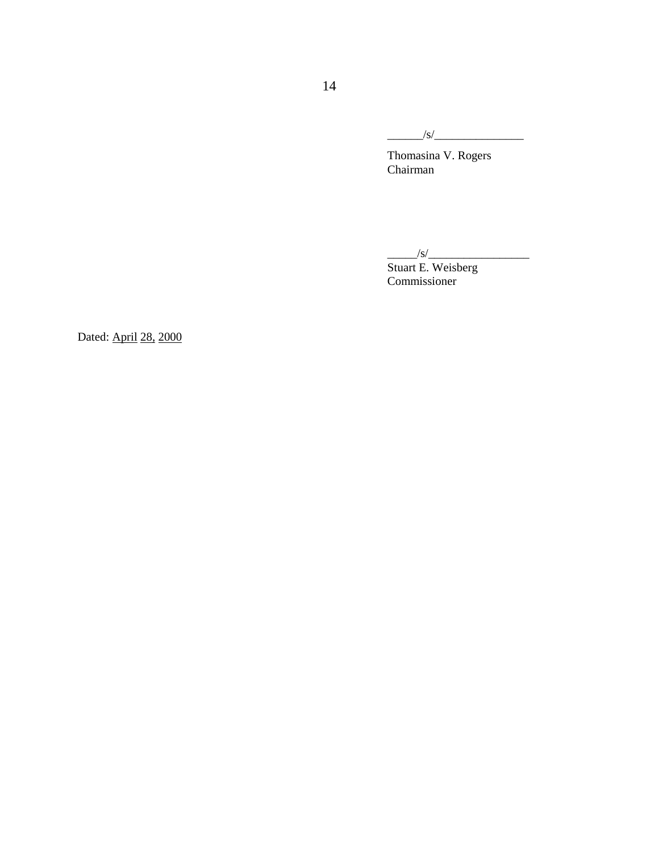\_\_\_\_\_\_/s/\_\_\_\_\_\_\_\_\_\_\_\_\_\_\_

Thomasina V. Rogers **Chairman** 

 $\frac{1}{s}$ 

Stuart E. Weisberg Commissioner

Dated: April 28, 2000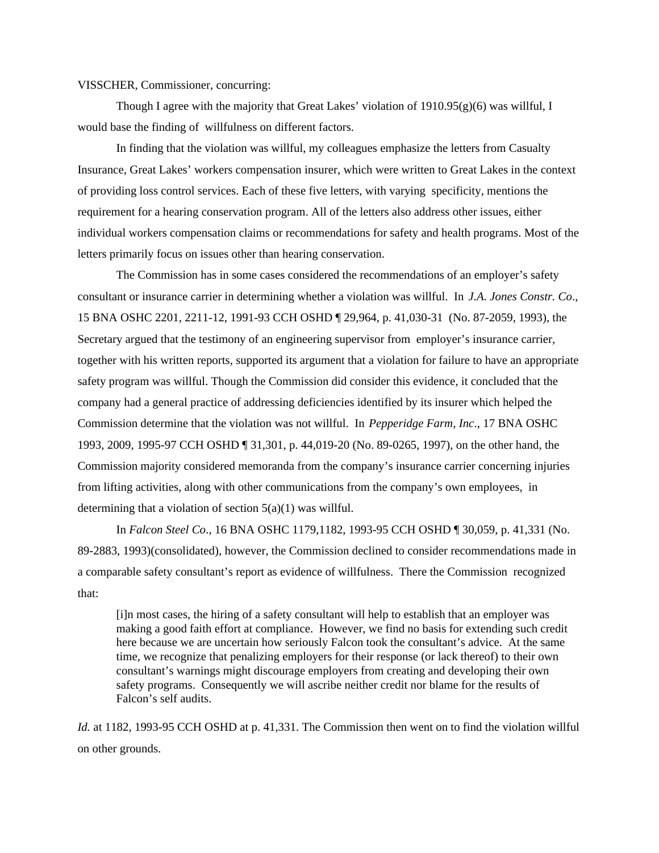VISSCHER, Commissioner, concurring:

Though I agree with the majority that Great Lakes' violation of  $1910.95(g)(6)$  was willful, I would base the finding of willfulness on different factors.

In finding that the violation was willful, my colleagues emphasize the letters from Casualty Insurance, Great Lakes' workers compensation insurer, which were written to Great Lakes in the context of providing loss control services. Each of these five letters, with varying specificity, mentions the requirement for a hearing conservation program. All of the letters also address other issues, either individual workers compensation claims or recommendations for safety and health programs. Most of the letters primarily focus on issues other than hearing conservation.

The Commission has in some cases considered the recommendations of an employer's safety consultant or insurance carrier in determining whether a violation was willful. In *J.A. Jones Constr. Co*., 15 BNA OSHC 2201, 2211-12, 1991-93 CCH OSHD ¶ 29,964, p. 41,030-31 (No. 87-2059, 1993), the Secretary argued that the testimony of an engineering supervisor from employer's insurance carrier, together with his written reports, supported its argument that a violation for failure to have an appropriate safety program was willful. Though the Commission did consider this evidence, it concluded that the company had a general practice of addressing deficiencies identified by its insurer which helped the Commission determine that the violation was not willful. In *Pepperidge Farm, Inc*., 17 BNA OSHC 1993, 2009, 1995-97 CCH OSHD ¶ 31,301, p. 44,019-20 (No. 89-0265, 1997), on the other hand, the Commission majority considered memoranda from the company's insurance carrier concerning injuries from lifting activities, along with other communications from the company's own employees, in determining that a violation of section  $5(a)(1)$  was willful.

In *Falcon Steel Co*., 16 BNA OSHC 1179,1182, 1993-95 CCH OSHD ¶ 30,059, p. 41,331 (No. 89-2883, 1993)(consolidated), however, the Commission declined to consider recommendations made in a comparable safety consultant's report as evidence of willfulness. There the Commission recognized that:

[i]n most cases, the hiring of a safety consultant will help to establish that an employer was making a good faith effort at compliance. However, we find no basis for extending such credit here because we are uncertain how seriously Falcon took the consultant's advice. At the same time, we recognize that penalizing employers for their response (or lack thereof) to their own consultant's warnings might discourage employers from creating and developing their own safety programs. Consequently we will ascribe neither credit nor blame for the results of Falcon's self audits.

*Id.* at 1182, 1993-95 CCH OSHD at p. 41,331. The Commission then went on to find the violation willful on other grounds.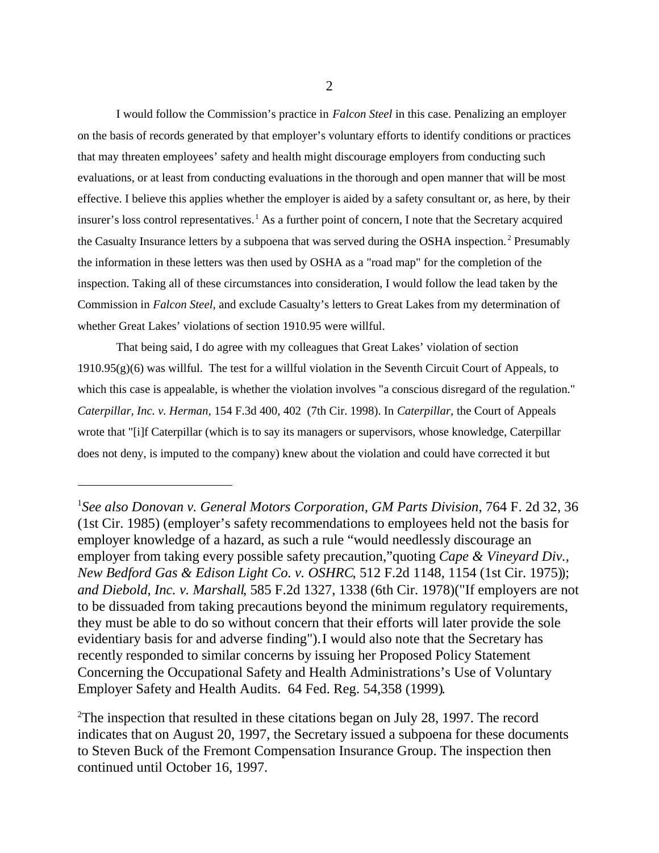I would follow the Commission's practice in *Falcon Steel* in this case. Penalizing an employer on the basis of records generated by that employer's voluntary efforts to identify conditions or practices that may threaten employees' safety and health might discourage employers from conducting such evaluations, or at least from conducting evaluations in the thorough and open manner that will be most effective. I believe this applies whether the employer is aided by a safety consultant or, as here, by their insurer's loss control representatives.<sup>1</sup> As a further point of concern, I note that the Secretary acquired the Casualty Insurance letters by a subpoena that was served during the OSHA inspection.<sup>2</sup> Presumably the information in these letters was then used by OSHA as a "road map" for the completion of the inspection. Taking all of these circumstances into consideration, I would follow the lead taken by the Commission in *Falcon Steel,* and exclude Casualty's letters to Great Lakes from my determination of whether Great Lakes' violations of section 1910.95 were willful.

That being said, I do agree with my colleagues that Great Lakes' violation of section 1910.95(g)(6) was willful. The test for a willful violation in the Seventh Circuit Court of Appeals, to which this case is appealable, is whether the violation involves "a conscious disregard of the regulation." *Caterpillar, Inc. v. Herman,* 154 F.3d 400, 402 (7th Cir. 1998). In *Caterpillar,* the Court of Appeals wrote that "[i]f Caterpillar (which is to say its managers or supervisors, whose knowledge, Caterpillar does not deny, is imputed to the company) knew about the violation and could have corrected it but

<sup>1</sup> *See also Donovan v. General Motors Corporation, GM Parts Division*, 764 F. 2d 32, 36 (1st Cir. 1985) (employer's safety recommendations to employees held not the basis for employer knowledge of a hazard, as such a rule "would needlessly discourage an employer from taking every possible safety precaution,"quoting *Cape & Vineyard Div., New Bedford Gas & Edison Light Co. v. OSHRC*, 512 F.2d 1148, 1154 (1st Cir. 1975)); *and Diebold, Inc. v. Marshall*, 585 F.2d 1327, 1338 (6th Cir. 1978)("If employers are not to be dissuaded from taking precautions beyond the minimum regulatory requirements, they must be able to do so without concern that their efforts will later provide the sole evidentiary basis for and adverse finding"). I would also note that the Secretary has recently responded to similar concerns by issuing her Proposed Policy Statement Concerning the Occupational Safety and Health Administrations's Use of Voluntary Employer Safety and Health Audits. 64 Fed. Reg. 54,358 (1999).

<sup>&</sup>lt;sup>2</sup>The inspection that resulted in these citations began on July 28, 1997. The record indicates that on August 20, 1997, the Secretary issued a subpoena for these documents to Steven Buck of the Fremont Compensation Insurance Group. The inspection then continued until October 16, 1997.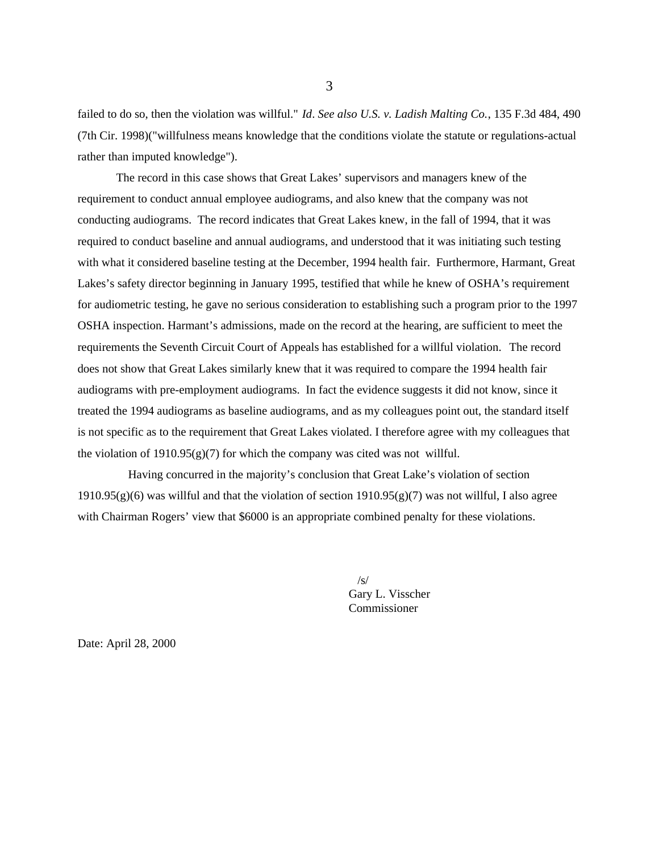failed to do so, then the violation was willful." *Id*. *See also U.S. v. Ladish Malting Co.*, 135 F.3d 484, 490 (7th Cir. 1998)("willfulness means knowledge that the conditions violate the statute or regulations-actual rather than imputed knowledge").

The record in this case shows that Great Lakes' supervisors and managers knew of the requirement to conduct annual employee audiograms, and also knew that the company was not conducting audiograms. The record indicates that Great Lakes knew, in the fall of 1994, that it was required to conduct baseline and annual audiograms, and understood that it was initiating such testing with what it considered baseline testing at the December, 1994 health fair. Furthermore, Harmant, Great Lakes's safety director beginning in January 1995, testified that while he knew of OSHA's requirement for audiometric testing, he gave no serious consideration to establishing such a program prior to the 1997 OSHA inspection. Harmant's admissions, made on the record at the hearing, are sufficient to meet the requirements the Seventh Circuit Court of Appeals has established for a willful violation. The record does not show that Great Lakes similarly knew that it was required to compare the 1994 health fair audiograms with pre-employment audiograms. In fact the evidence suggests it did not know, since it treated the 1994 audiograms as baseline audiograms, and as my colleagues point out, the standard itself is not specific as to the requirement that Great Lakes violated. I therefore agree with my colleagues that the violation of  $1910.95(g)(7)$  for which the company was cited was not willful.

 Having concurred in the majority's conclusion that Great Lake's violation of section 1910.95(g)(6) was willful and that the violation of section 1910.95(g)(7) was not willful, I also agree with Chairman Rogers' view that \$6000 is an appropriate combined penalty for these violations.

> $\sqrt{s}$ Gary L. Visscher Commissioner

Date: April 28, 2000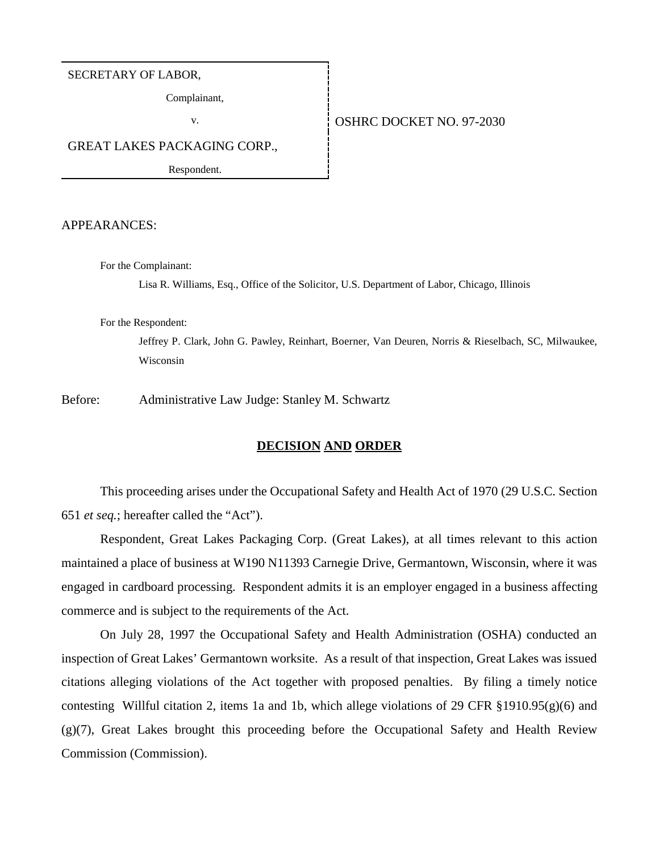#### SECRETARY OF LABOR,

Complainant,

## v. 6 0SHRC DOCKET NO. 97-2030

GREAT LAKES PACKAGING CORP.,

Respondent.

APPEARANCES:

For the Complainant:

Lisa R. Williams, Esq., Office of the Solicitor, U.S. Department of Labor, Chicago, Illinois

For the Respondent:

Jeffrey P. Clark, John G. Pawley, Reinhart, Boerner, Van Deuren, Norris & Rieselbach, SC, Milwaukee, Wisconsin

Before: Administrative Law Judge: Stanley M. Schwartz

## **DECISION AND ORDER**

This proceeding arises under the Occupational Safety and Health Act of 1970 (29 U.S.C. Section 651 *et seq.*; hereafter called the "Act").

Respondent, Great Lakes Packaging Corp. (Great Lakes), at all times relevant to this action maintained a place of business at W190 N11393 Carnegie Drive, Germantown, Wisconsin, where it was engaged in cardboard processing. Respondent admits it is an employer engaged in a business affecting commerce and is subject to the requirements of the Act.

On July 28, 1997 the Occupational Safety and Health Administration (OSHA) conducted an inspection of Great Lakes' Germantown worksite. As a result of that inspection, Great Lakes was issued citations alleging violations of the Act together with proposed penalties. By filing a timely notice contesting Willful citation 2, items 1a and 1b, which allege violations of 29 CFR §1910.95(g)(6) and (g)(7), Great Lakes brought this proceeding before the Occupational Safety and Health Review Commission (Commission).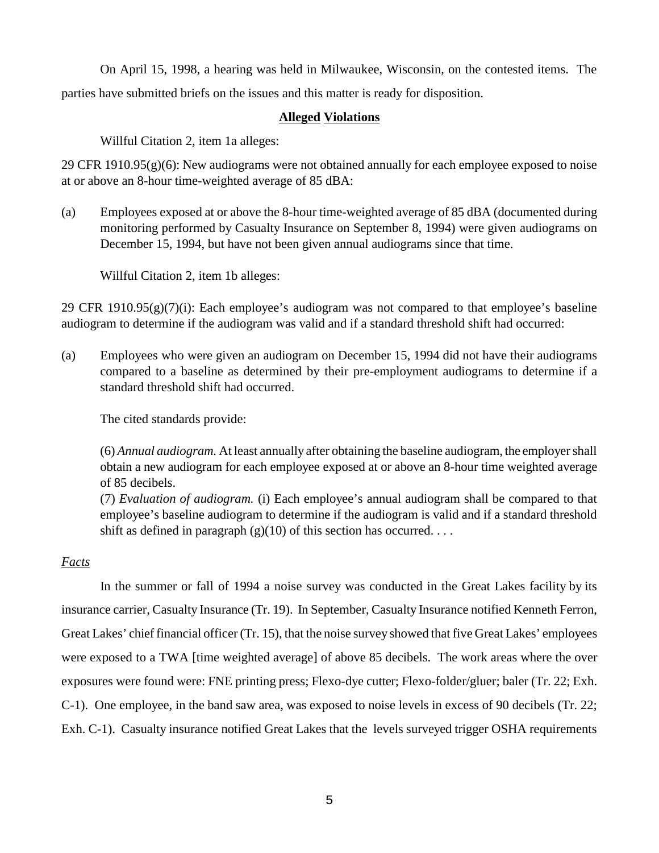On April 15, 1998, a hearing was held in Milwaukee, Wisconsin, on the contested items. The parties have submitted briefs on the issues and this matter is ready for disposition.

# **Alleged Violations**

Willful Citation 2, item 1a alleges:

29 CFR 1910.95(g)(6): New audiograms were not obtained annually for each employee exposed to noise at or above an 8-hour time-weighted average of 85 dBA:

(a) Employees exposed at or above the 8-hour time-weighted average of 85 dBA (documented during monitoring performed by Casualty Insurance on September 8, 1994) were given audiograms on December 15, 1994, but have not been given annual audiograms since that time.

Willful Citation 2, item 1b alleges:

29 CFR 1910.95(g)(7)(i): Each employee's audiogram was not compared to that employee's baseline audiogram to determine if the audiogram was valid and if a standard threshold shift had occurred:

(a) Employees who were given an audiogram on December 15, 1994 did not have their audiograms compared to a baseline as determined by their pre-employment audiograms to determine if a standard threshold shift had occurred.

The cited standards provide:

(6) *Annual audiogram.* At least annually after obtaining the baseline audiogram, the employer shall obtain a new audiogram for each employee exposed at or above an 8-hour time weighted average of 85 decibels.

(7) *Evaluation of audiogram.* (i) Each employee's annual audiogram shall be compared to that employee's baseline audiogram to determine if the audiogram is valid and if a standard threshold shift as defined in paragraph  $(g)(10)$  of this section has occurred....

# *Facts*

 In the summer or fall of 1994 a noise survey was conducted in the Great Lakes facility by its insurance carrier, Casualty Insurance (Tr. 19). In September, Casualty Insurance notified Kenneth Ferron, Great Lakes' chief financial officer (Tr. 15), that the noise survey showed that five Great Lakes' employees were exposed to a TWA [time weighted average] of above 85 decibels. The work areas where the over exposures were found were: FNE printing press; Flexo-dye cutter; Flexo-folder/gluer; baler (Tr. 22; Exh. C-1). One employee, in the band saw area, was exposed to noise levels in excess of 90 decibels (Tr. 22; Exh. C-1). Casualty insurance notified Great Lakes that the levels surveyed trigger OSHA requirements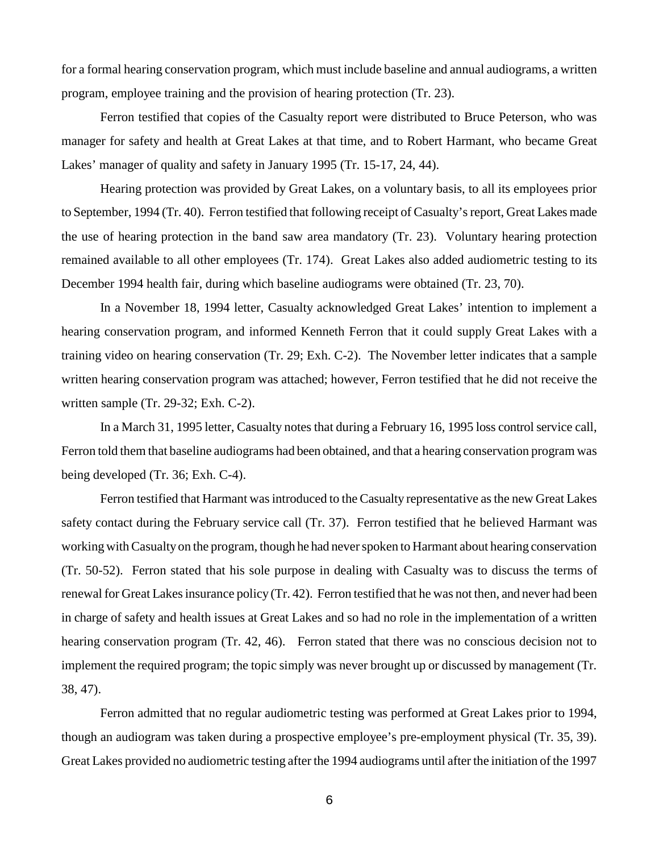for a formal hearing conservation program, which must include baseline and annual audiograms, a written program, employee training and the provision of hearing protection (Tr. 23).

Ferron testified that copies of the Casualty report were distributed to Bruce Peterson, who was manager for safety and health at Great Lakes at that time, and to Robert Harmant, who became Great Lakes' manager of quality and safety in January 1995 (Tr. 15-17, 24, 44).

Hearing protection was provided by Great Lakes, on a voluntary basis, to all its employees prior to September, 1994 (Tr. 40). Ferron testified that following receipt of Casualty's report, Great Lakes made the use of hearing protection in the band saw area mandatory (Tr. 23). Voluntary hearing protection remained available to all other employees (Tr. 174). Great Lakes also added audiometric testing to its December 1994 health fair, during which baseline audiograms were obtained (Tr. 23, 70).

In a November 18, 1994 letter, Casualty acknowledged Great Lakes' intention to implement a hearing conservation program, and informed Kenneth Ferron that it could supply Great Lakes with a training video on hearing conservation (Tr. 29; Exh. C-2). The November letter indicates that a sample written hearing conservation program was attached; however, Ferron testified that he did not receive the written sample (Tr. 29-32; Exh. C-2).

In a March 31, 1995 letter, Casualty notes that during a February 16, 1995 loss control service call, Ferron told them that baseline audiograms had been obtained, and that a hearing conservation program was being developed (Tr. 36; Exh. C-4).

Ferron testified that Harmant was introduced to the Casualty representative as the new Great Lakes safety contact during the February service call (Tr. 37). Ferron testified that he believed Harmant was working with Casualty on the program, though he had never spoken to Harmant about hearing conservation (Tr. 50-52). Ferron stated that his sole purpose in dealing with Casualty was to discuss the terms of renewal for Great Lakes insurance policy (Tr. 42). Ferron testified that he was not then, and never had been in charge of safety and health issues at Great Lakes and so had no role in the implementation of a written hearing conservation program (Tr. 42, 46). Ferron stated that there was no conscious decision not to implement the required program; the topic simply was never brought up or discussed by management (Tr. 38, 47).

 Ferron admitted that no regular audiometric testing was performed at Great Lakes prior to 1994, though an audiogram was taken during a prospective employee's pre-employment physical (Tr. 35, 39). Great Lakes provided no audiometric testing after the 1994 audiograms until after the initiation of the 1997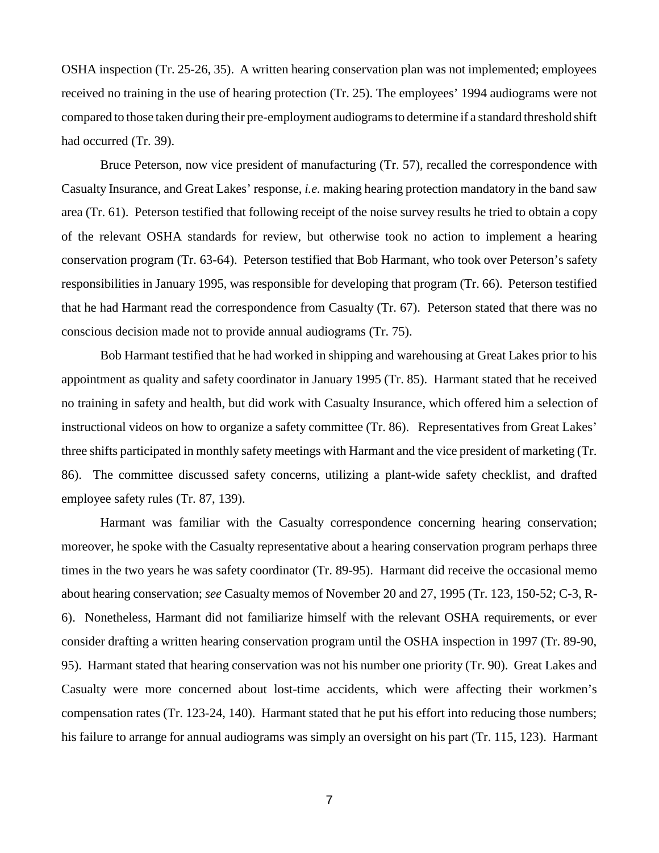OSHA inspection (Tr. 25-26, 35). A written hearing conservation plan was not implemented; employees received no training in the use of hearing protection (Tr. 25). The employees' 1994 audiograms were not compared to those taken during their pre-employment audiograms to determine if a standard threshold shift had occurred (Tr. 39).

Bruce Peterson, now vice president of manufacturing (Tr. 57), recalled the correspondence with Casualty Insurance, and Great Lakes' response, *i.e.* making hearing protection mandatory in the band saw area (Tr. 61). Peterson testified that following receipt of the noise survey results he tried to obtain a copy of the relevant OSHA standards for review, but otherwise took no action to implement a hearing conservation program (Tr. 63-64). Peterson testified that Bob Harmant, who took over Peterson's safety responsibilities in January 1995, was responsible for developing that program (Tr. 66). Peterson testified that he had Harmant read the correspondence from Casualty (Tr. 67). Peterson stated that there was no conscious decision made not to provide annual audiograms (Tr. 75).

Bob Harmant testified that he had worked in shipping and warehousing at Great Lakes prior to his appointment as quality and safety coordinator in January 1995 (Tr. 85). Harmant stated that he received no training in safety and health, but did work with Casualty Insurance, which offered him a selection of instructional videos on how to organize a safety committee (Tr. 86). Representatives from Great Lakes' three shifts participated in monthly safety meetings with Harmant and the vice president of marketing (Tr. 86). The committee discussed safety concerns, utilizing a plant-wide safety checklist, and drafted employee safety rules (Tr. 87, 139).

Harmant was familiar with the Casualty correspondence concerning hearing conservation; moreover, he spoke with the Casualty representative about a hearing conservation program perhaps three times in the two years he was safety coordinator (Tr. 89-95). Harmant did receive the occasional memo about hearing conservation; *see* Casualty memos of November 20 and 27, 1995 (Tr. 123, 150-52; C-3, R-6). Nonetheless, Harmant did not familiarize himself with the relevant OSHA requirements, or ever consider drafting a written hearing conservation program until the OSHA inspection in 1997 (Tr. 89-90, 95). Harmant stated that hearing conservation was not his number one priority (Tr. 90). Great Lakes and Casualty were more concerned about lost-time accidents, which were affecting their workmen's compensation rates (Tr. 123-24, 140). Harmant stated that he put his effort into reducing those numbers; his failure to arrange for annual audiograms was simply an oversight on his part (Tr. 115, 123). Harmant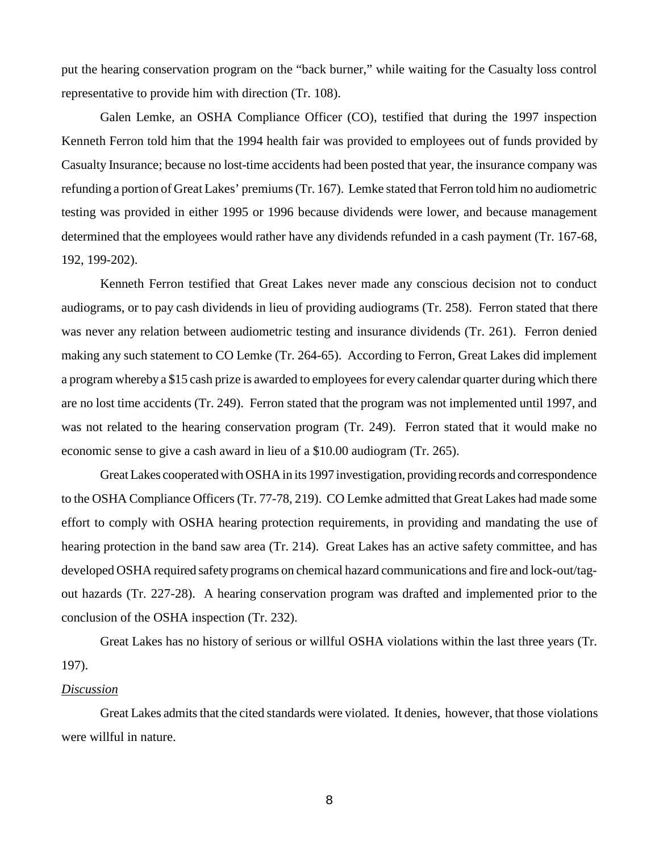put the hearing conservation program on the "back burner," while waiting for the Casualty loss control representative to provide him with direction (Tr. 108).

Galen Lemke, an OSHA Compliance Officer (CO), testified that during the 1997 inspection Kenneth Ferron told him that the 1994 health fair was provided to employees out of funds provided by Casualty Insurance; because no lost-time accidents had been posted that year, the insurance company was refunding a portion of Great Lakes' premiums (Tr. 167). Lemke stated that Ferron told him no audiometric testing was provided in either 1995 or 1996 because dividends were lower, and because management determined that the employees would rather have any dividends refunded in a cash payment (Tr. 167-68, 192, 199-202).

Kenneth Ferron testified that Great Lakes never made any conscious decision not to conduct audiograms, or to pay cash dividends in lieu of providing audiograms (Tr. 258). Ferron stated that there was never any relation between audiometric testing and insurance dividends (Tr. 261). Ferron denied making any such statement to CO Lemke (Tr. 264-65). According to Ferron, Great Lakes did implement a program whereby a \$15 cash prize is awarded to employees for every calendar quarter during which there are no lost time accidents (Tr. 249). Ferron stated that the program was not implemented until 1997, and was not related to the hearing conservation program (Tr. 249). Ferron stated that it would make no economic sense to give a cash award in lieu of a \$10.00 audiogram (Tr. 265).

Great Lakes cooperated with OSHA in its 1997 investigation, providing records and correspondence to the OSHA Compliance Officers (Tr. 77-78, 219). CO Lemke admitted that Great Lakes had made some effort to comply with OSHA hearing protection requirements, in providing and mandating the use of hearing protection in the band saw area (Tr. 214). Great Lakes has an active safety committee, and has developed OSHA required safety programs on chemical hazard communications and fire and lock-out/tagout hazards (Tr. 227-28). A hearing conservation program was drafted and implemented prior to the conclusion of the OSHA inspection (Tr. 232).

Great Lakes has no history of serious or willful OSHA violations within the last three years (Tr. 197).

# *Discussion*

 Great Lakes admits that the cited standards were violated. It denies, however, that those violations were willful in nature.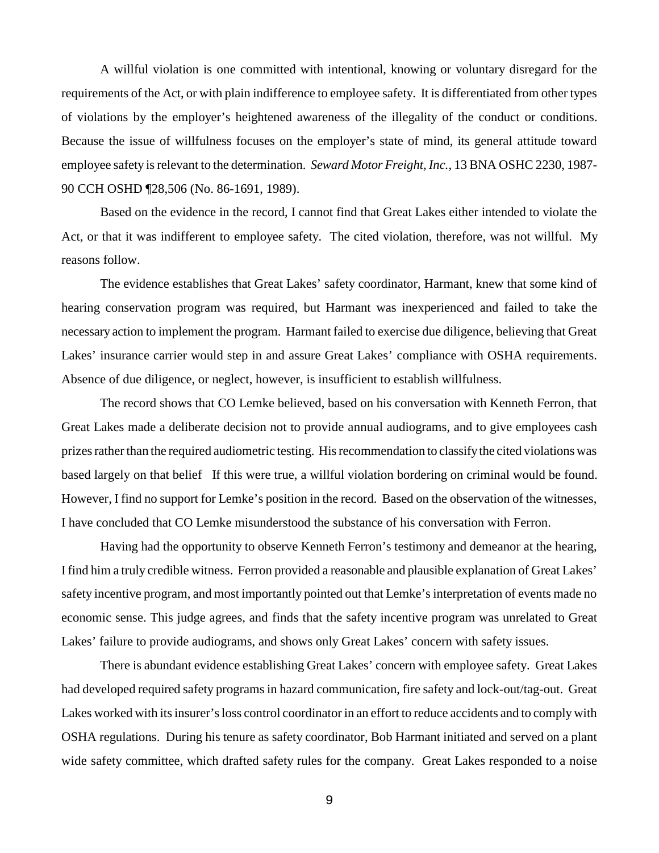A willful violation is one committed with intentional, knowing or voluntary disregard for the requirements of the Act, or with plain indifference to employee safety. It is differentiated from other types of violations by the employer's heightened awareness of the illegality of the conduct or conditions. Because the issue of willfulness focuses on the employer's state of mind, its general attitude toward employee safety is relevant to the determination. *Seward Motor Freight, Inc.*, 13 BNA OSHC 2230, 1987- 90 CCH OSHD ¶28,506 (No. 86-1691, 1989).

Based on the evidence in the record, I cannot find that Great Lakes either intended to violate the Act, or that it was indifferent to employee safety. The cited violation, therefore, was not willful. My reasons follow.

The evidence establishes that Great Lakes' safety coordinator, Harmant, knew that some kind of hearing conservation program was required, but Harmant was inexperienced and failed to take the necessary action to implement the program. Harmant failed to exercise due diligence, believing that Great Lakes' insurance carrier would step in and assure Great Lakes' compliance with OSHA requirements. Absence of due diligence, or neglect, however, is insufficient to establish willfulness.

The record shows that CO Lemke believed, based on his conversation with Kenneth Ferron, that Great Lakes made a deliberate decision not to provide annual audiograms, and to give employees cash prizes rather than the required audiometric testing. His recommendation to classify the cited violations was based largely on that belief If this were true, a willful violation bordering on criminal would be found. However, I find no support for Lemke's position in the record. Based on the observation of the witnesses, I have concluded that CO Lemke misunderstood the substance of his conversation with Ferron.

Having had the opportunity to observe Kenneth Ferron's testimony and demeanor at the hearing, I find him a truly credible witness. Ferron provided a reasonable and plausible explanation of Great Lakes' safety incentive program, and most importantly pointed out that Lemke's interpretation of events made no economic sense. This judge agrees, and finds that the safety incentive program was unrelated to Great Lakes' failure to provide audiograms, and shows only Great Lakes' concern with safety issues.

There is abundant evidence establishing Great Lakes' concern with employee safety. Great Lakes had developed required safety programs in hazard communication, fire safety and lock-out/tag-out. Great Lakes worked with its insurer's loss control coordinator in an effort to reduce accidents and to comply with OSHA regulations. During his tenure as safety coordinator, Bob Harmant initiated and served on a plant wide safety committee, which drafted safety rules for the company. Great Lakes responded to a noise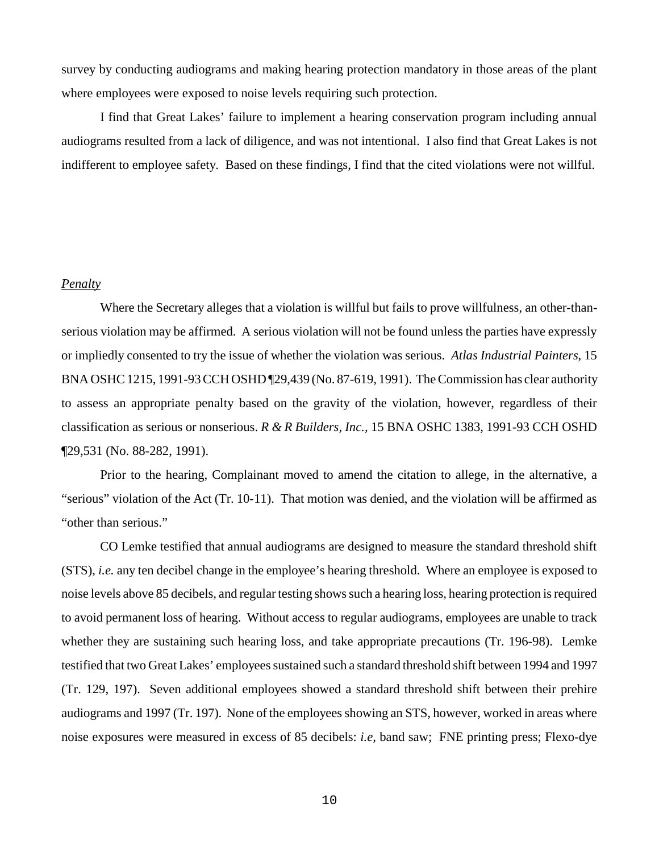survey by conducting audiograms and making hearing protection mandatory in those areas of the plant where employees were exposed to noise levels requiring such protection.

I find that Great Lakes' failure to implement a hearing conservation program including annual audiograms resulted from a lack of diligence, and was not intentional. I also find that Great Lakes is not indifferent to employee safety. Based on these findings, I find that the cited violations were not willful.

# *Penalty*

Where the Secretary alleges that a violation is willful but fails to prove willfulness, an other-thanserious violation may be affirmed. A serious violation will not be found unless the parties have expressly or impliedly consented to try the issue of whether the violation was serious. *Atlas Industrial Painters*, 15 BNA OSHC 1215, 1991-93 CCH OSHD ¶29,439 (No. 87-619, 1991). The Commission has clear authority to assess an appropriate penalty based on the gravity of the violation, however, regardless of their classification as serious or nonserious. *R & R Builders, Inc.,* 15 BNA OSHC 1383, 1991-93 CCH OSHD ¶29,531 (No. 88-282, 1991).

Prior to the hearing, Complainant moved to amend the citation to allege, in the alternative, a "serious" violation of the Act (Tr. 10-11). That motion was denied, and the violation will be affirmed as "other than serious."

CO Lemke testified that annual audiograms are designed to measure the standard threshold shift (STS), *i.e.* any ten decibel change in the employee's hearing threshold. Where an employee is exposed to noise levels above 85 decibels, and regular testing shows such a hearing loss, hearing protection is required to avoid permanent loss of hearing. Without access to regular audiograms, employees are unable to track whether they are sustaining such hearing loss, and take appropriate precautions (Tr. 196-98). Lemke testified that two Great Lakes' employees sustained such a standard threshold shift between 1994 and 1997 (Tr. 129, 197). Seven additional employees showed a standard threshold shift between their prehire audiograms and 1997 (Tr. 197). None of the employees showing an STS, however, worked in areas where noise exposures were measured in excess of 85 decibels: *i.e,* band saw; FNE printing press; Flexo-dye